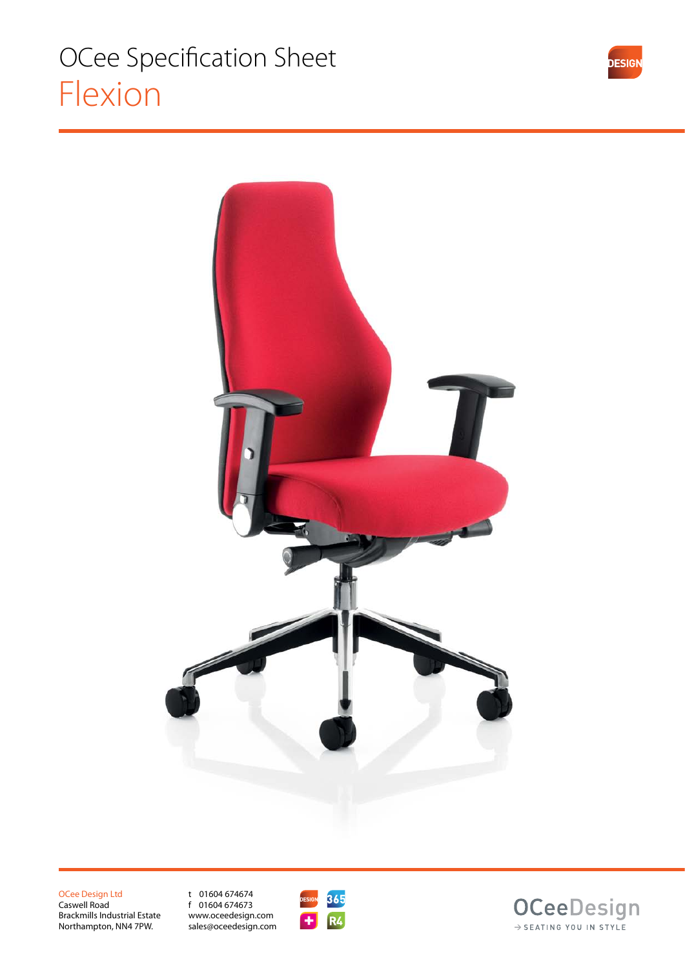

OCee Design Ltd Caswell Road Brackmills Industrial Estate Northampton, NN4 7PW.

t 01604 674674 f 01604 674673 www.oceedesign.com sales@oceedesign.com